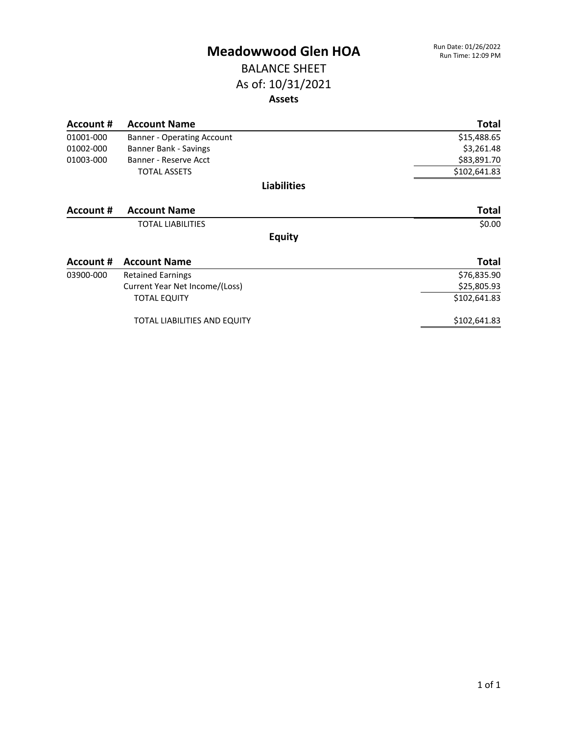#### BALANCE SHEET As of: 10/31/2021 **Assets**

| Account # | <b>Account Name</b>               | <b>Total</b> |
|-----------|-----------------------------------|--------------|
| 01001-000 | <b>Banner - Operating Account</b> | \$15,488.65  |
| 01002-000 | Banner Bank - Savings             | \$3,261.48   |
| 01003-000 | Banner - Reserve Acct             | \$83,891.70  |
|           | <b>TOTAL ASSETS</b>               | \$102,641.83 |
|           | <b>Liabilities</b>                |              |
| Account # | <b>Account Name</b>               | <b>Total</b> |
|           | <b>TOTAL LIABILITIES</b>          | \$0.00       |
|           | <b>Equity</b>                     |              |
| Account # | <b>Account Name</b>               | <b>Total</b> |
| 03900-000 | <b>Retained Earnings</b>          | \$76,835.90  |
|           | Current Year Net Income/(Loss)    | \$25,805.93  |
|           | <b>TOTAL EQUITY</b>               | \$102,641.83 |
|           | TOTAL LIABILITIES AND EQUITY      | \$102,641.83 |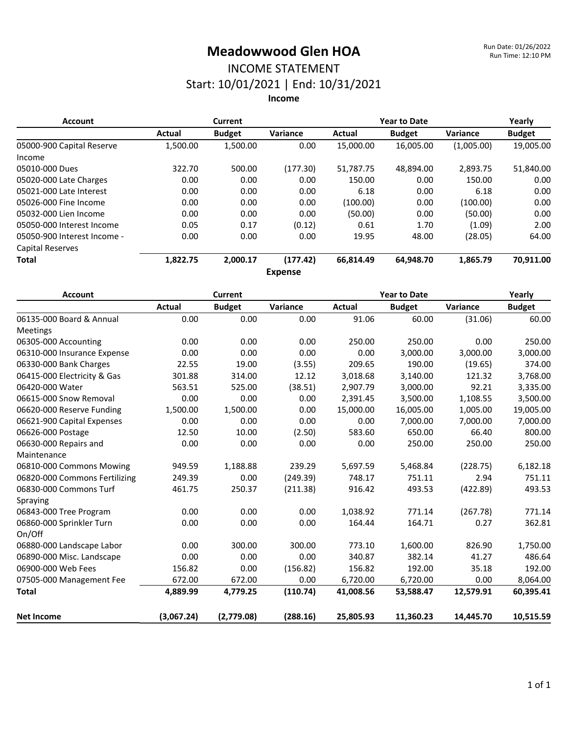# INCOME STATEMENT

Start: 10/01/2021 | End: 10/31/2021

**Income**

| <b>Account</b>              | Current  |               |                | <b>Year to Date</b> |               |            | Yearly        |
|-----------------------------|----------|---------------|----------------|---------------------|---------------|------------|---------------|
|                             | Actual   | <b>Budget</b> | Variance       | Actual              | <b>Budget</b> | Variance   | <b>Budget</b> |
| 05000-900 Capital Reserve   | 1,500.00 | 1,500.00      | 0.00           | 15,000.00           | 16,005.00     | (1,005.00) | 19,005.00     |
| Income                      |          |               |                |                     |               |            |               |
| 05010-000 Dues              | 322.70   | 500.00        | (177.30)       | 51,787.75           | 48,894.00     | 2,893.75   | 51,840.00     |
| 05020-000 Late Charges      | 0.00     | 0.00          | 0.00           | 150.00              | 0.00          | 150.00     | 0.00          |
| 05021-000 Late Interest     | 0.00     | 0.00          | 0.00           | 6.18                | 0.00          | 6.18       | 0.00          |
| 05026-000 Fine Income       | 0.00     | 0.00          | 0.00           | (100.00)            | 0.00          | (100.00)   | 0.00          |
| 05032-000 Lien Income       | 0.00     | 0.00          | 0.00           | (50.00)             | 0.00          | (50.00)    | 0.00          |
| 05050-000 Interest Income   | 0.05     | 0.17          | (0.12)         | 0.61                | 1.70          | (1.09)     | 2.00          |
| 05050-900 Interest Income - | 0.00     | 0.00          | 0.00           | 19.95               | 48.00         | (28.05)    | 64.00         |
| Capital Reserves            |          |               |                |                     |               |            |               |
| <b>Total</b>                | 1,822.75 | 2,000.17      | (177.42)       | 66,814.49           | 64,948.70     | 1,865.79   | 70,911.00     |
|                             |          |               | <b>Expense</b> |                     |               |            |               |

| <b>Account</b>                | <b>Current</b> |               |          | <b>Year to Date</b> |               |           | Yearly        |
|-------------------------------|----------------|---------------|----------|---------------------|---------------|-----------|---------------|
|                               | Actual         | <b>Budget</b> | Variance | <b>Actual</b>       | <b>Budget</b> | Variance  | <b>Budget</b> |
| 06135-000 Board & Annual      | 0.00           | 0.00          | 0.00     | 91.06               | 60.00         | (31.06)   | 60.00         |
| Meetings                      |                |               |          |                     |               |           |               |
| 06305-000 Accounting          | 0.00           | 0.00          | 0.00     | 250.00              | 250.00        | 0.00      | 250.00        |
| 06310-000 Insurance Expense   | 0.00           | 0.00          | 0.00     | 0.00                | 3,000.00      | 3,000.00  | 3,000.00      |
| 06330-000 Bank Charges        | 22.55          | 19.00         | (3.55)   | 209.65              | 190.00        | (19.65)   | 374.00        |
| 06415-000 Electricity & Gas   | 301.88         | 314.00        | 12.12    | 3,018.68            | 3,140.00      | 121.32    | 3,768.00      |
| 06420-000 Water               | 563.51         | 525.00        | (38.51)  | 2,907.79            | 3,000.00      | 92.21     | 3,335.00      |
| 06615-000 Snow Removal        | 0.00           | 0.00          | 0.00     | 2,391.45            | 3,500.00      | 1,108.55  | 3,500.00      |
| 06620-000 Reserve Funding     | 1,500.00       | 1,500.00      | 0.00     | 15,000.00           | 16,005.00     | 1,005.00  | 19,005.00     |
| 06621-900 Capital Expenses    | 0.00           | 0.00          | 0.00     | 0.00                | 7,000.00      | 7,000.00  | 7,000.00      |
| 06626-000 Postage             | 12.50          | 10.00         | (2.50)   | 583.60              | 650.00        | 66.40     | 800.00        |
| 06630-000 Repairs and         | 0.00           | 0.00          | 0.00     | 0.00                | 250.00        | 250.00    | 250.00        |
| Maintenance                   |                |               |          |                     |               |           |               |
| 06810-000 Commons Mowing      | 949.59         | 1,188.88      | 239.29   | 5,697.59            | 5,468.84      | (228.75)  | 6,182.18      |
| 06820-000 Commons Fertilizing | 249.39         | 0.00          | (249.39) | 748.17              | 751.11        | 2.94      | 751.11        |
| 06830-000 Commons Turf        | 461.75         | 250.37        | (211.38) | 916.42              | 493.53        | (422.89)  | 493.53        |
| Spraying                      |                |               |          |                     |               |           |               |
| 06843-000 Tree Program        | 0.00           | 0.00          | 0.00     | 1,038.92            | 771.14        | (267.78)  | 771.14        |
| 06860-000 Sprinkler Turn      | 0.00           | 0.00          | 0.00     | 164.44              | 164.71        | 0.27      | 362.81        |
| On/Off                        |                |               |          |                     |               |           |               |
| 06880-000 Landscape Labor     | 0.00           | 300.00        | 300.00   | 773.10              | 1,600.00      | 826.90    | 1,750.00      |
| 06890-000 Misc. Landscape     | 0.00           | 0.00          | 0.00     | 340.87              | 382.14        | 41.27     | 486.64        |
| 06900-000 Web Fees            | 156.82         | 0.00          | (156.82) | 156.82              | 192.00        | 35.18     | 192.00        |
| 07505-000 Management Fee      | 672.00         | 672.00        | 0.00     | 6,720.00            | 6,720.00      | 0.00      | 8,064.00      |
| <b>Total</b>                  | 4,889.99       | 4,779.25      | (110.74) | 41,008.56           | 53,588.47     | 12,579.91 | 60,395.41     |
| <b>Net Income</b>             | (3,067.24)     | (2,779.08)    | (288.16) | 25,805.93           | 11,360.23     | 14,445.70 | 10,515.59     |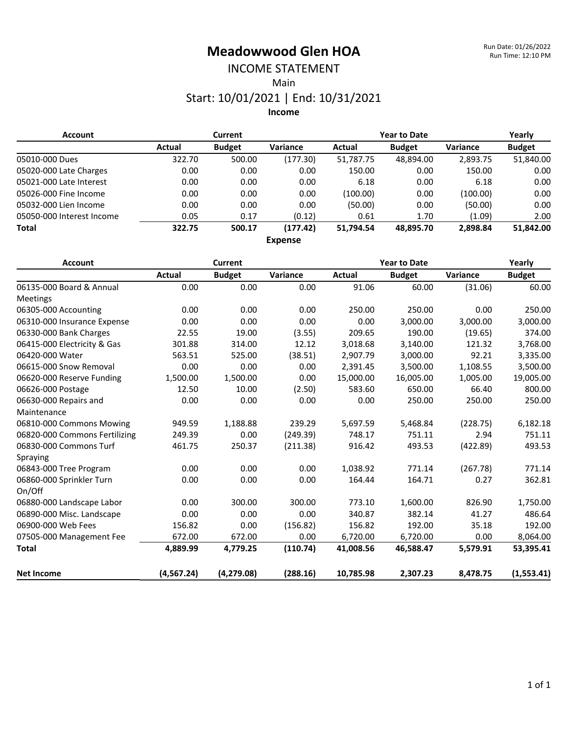# INCOME STATEMENT

Main

#### Start: 10/01/2021 | End: 10/31/2021

**Income**

| <b>Account</b>            | <b>Current</b> |               |                | <b>Year to Date</b> |               |                 | Yearly        |
|---------------------------|----------------|---------------|----------------|---------------------|---------------|-----------------|---------------|
|                           | Actual         | <b>Budget</b> | Variance       | Actual              | <b>Budget</b> | <b>Variance</b> | <b>Budget</b> |
| 05010-000 Dues            | 322.70         | 500.00        | (177.30)       | 51,787.75           | 48.894.00     | 2.893.75        | 51,840.00     |
| 05020-000 Late Charges    | 0.00           | 0.00          | 0.00           | 150.00              | 0.00          | 150.00          | 0.00          |
| 05021-000 Late Interest   | 0.00           | 0.00          | 0.00           | 6.18                | 0.00          | 6.18            | 0.00          |
| 05026-000 Fine Income     | 0.00           | 0.00          | 0.00           | (100.00)            | 0.00          | (100.00)        | 0.00          |
| 05032-000 Lien Income     | 0.00           | 0.00          | 0.00           | (50.00)             | 0.00          | (50.00)         | 0.00          |
| 05050-000 Interest Income | 0.05           | 0.17          | (0.12)         | 0.61                | 1.70          | (1.09)          | 2.00          |
| <b>Total</b>              | 322.75         | 500.17        | (177.42)       | 51,794.54           | 48.895.70     | 2.898.84        | 51,842.00     |
|                           |                |               | <b>Expense</b> |                     |               |                 |               |

| <b>Account</b>                | Current     |               |          | <b>Year to Date</b> |               |          | Yearly        |
|-------------------------------|-------------|---------------|----------|---------------------|---------------|----------|---------------|
|                               | Actual      | <b>Budget</b> | Variance | Actual              | <b>Budget</b> | Variance | <b>Budget</b> |
| 06135-000 Board & Annual      | 0.00        | 0.00          | 0.00     | 91.06               | 60.00         | (31.06)  | 60.00         |
| <b>Meetings</b>               |             |               |          |                     |               |          |               |
| 06305-000 Accounting          | 0.00        | 0.00          | 0.00     | 250.00              | 250.00        | 0.00     | 250.00        |
| 06310-000 Insurance Expense   | 0.00        | 0.00          | 0.00     | 0.00                | 3,000.00      | 3,000.00 | 3,000.00      |
| 06330-000 Bank Charges        | 22.55       | 19.00         | (3.55)   | 209.65              | 190.00        | (19.65)  | 374.00        |
| 06415-000 Electricity & Gas   | 301.88      | 314.00        | 12.12    | 3,018.68            | 3,140.00      | 121.32   | 3,768.00      |
| 06420-000 Water               | 563.51      | 525.00        | (38.51)  | 2,907.79            | 3,000.00      | 92.21    | 3,335.00      |
| 06615-000 Snow Removal        | 0.00        | 0.00          | 0.00     | 2,391.45            | 3,500.00      | 1,108.55 | 3,500.00      |
| 06620-000 Reserve Funding     | 1,500.00    | 1,500.00      | 0.00     | 15,000.00           | 16,005.00     | 1,005.00 | 19,005.00     |
| 06626-000 Postage             | 12.50       | 10.00         | (2.50)   | 583.60              | 650.00        | 66.40    | 800.00        |
| 06630-000 Repairs and         | 0.00        | 0.00          | 0.00     | 0.00                | 250.00        | 250.00   | 250.00        |
| Maintenance                   |             |               |          |                     |               |          |               |
| 06810-000 Commons Mowing      | 949.59      | 1,188.88      | 239.29   | 5,697.59            | 5,468.84      | (228.75) | 6,182.18      |
| 06820-000 Commons Fertilizing | 249.39      | 0.00          | (249.39) | 748.17              | 751.11        | 2.94     | 751.11        |
| 06830-000 Commons Turf        | 461.75      | 250.37        | (211.38) | 916.42              | 493.53        | (422.89) | 493.53        |
| Spraying                      |             |               |          |                     |               |          |               |
| 06843-000 Tree Program        | 0.00        | 0.00          | 0.00     | 1,038.92            | 771.14        | (267.78) | 771.14        |
| 06860-000 Sprinkler Turn      | 0.00        | 0.00          | 0.00     | 164.44              | 164.71        | 0.27     | 362.81        |
| On/Off                        |             |               |          |                     |               |          |               |
| 06880-000 Landscape Labor     | 0.00        | 300.00        | 300.00   | 773.10              | 1,600.00      | 826.90   | 1,750.00      |
| 06890-000 Misc. Landscape     | 0.00        | 0.00          | 0.00     | 340.87              | 382.14        | 41.27    | 486.64        |
| 06900-000 Web Fees            | 156.82      | 0.00          | (156.82) | 156.82              | 192.00        | 35.18    | 192.00        |
| 07505-000 Management Fee      | 672.00      | 672.00        | 0.00     | 6,720.00            | 6,720.00      | 0.00     | 8,064.00      |
| <b>Total</b>                  | 4,889.99    | 4,779.25      | (110.74) | 41,008.56           | 46,588.47     | 5,579.91 | 53,395.41     |
| <b>Net Income</b>             | (4, 567.24) | (4, 279.08)   | (288.16) | 10,785.98           | 2,307.23      | 8,478.75 | (1,553.41)    |